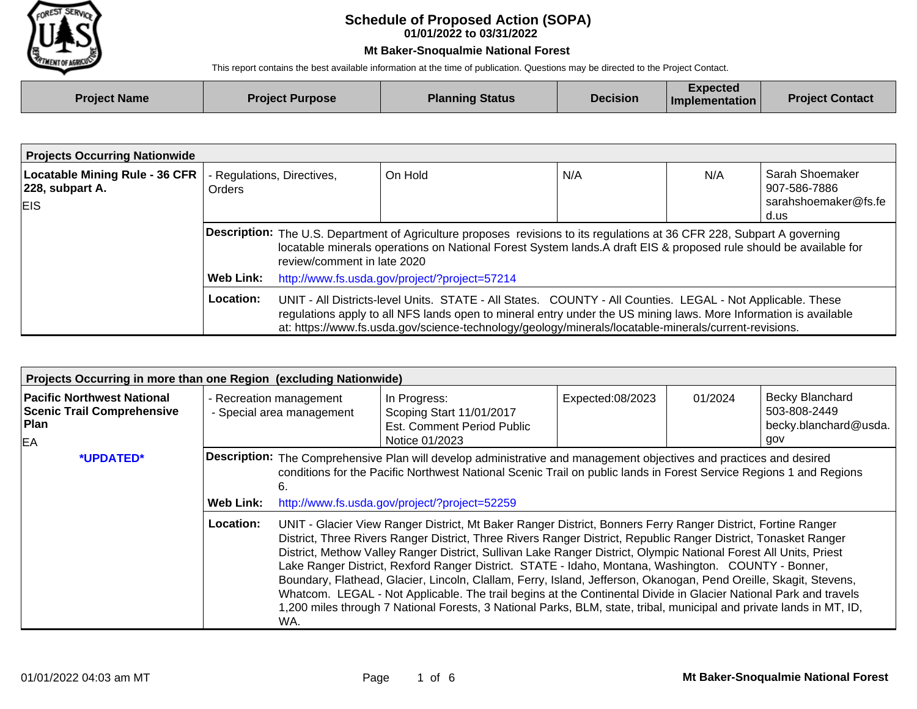

## **01/01/2022 to 03/31/2022 Schedule of Proposed Action (SOPA)**

## **Mt Baker-Snoqualmie National Forest**

This report contains the best available information at the time of publication. Questions may be directed to the Project Contact.

| <b>Project Name</b> | <b>Project Purpose</b> | <b>Planning Status</b> | <b>Decision</b> | Expected<br><b>Implementation</b> | <b>Project Contact</b> |
|---------------------|------------------------|------------------------|-----------------|-----------------------------------|------------------------|
|                     |                        |                        |                 |                                   |                        |

| <b>Projects Occurring Nationwide</b>                                   |                                             |                                                                                                                                                                                                                                                                                                                                         |         |     |     |                                                                 |  |  |
|------------------------------------------------------------------------|---------------------------------------------|-----------------------------------------------------------------------------------------------------------------------------------------------------------------------------------------------------------------------------------------------------------------------------------------------------------------------------------------|---------|-----|-----|-----------------------------------------------------------------|--|--|
| <b>Locatable Mining Rule - 36 CFR</b><br>228, subpart A.<br><b>EIS</b> | - Regulations, Directives,<br><b>Orders</b> |                                                                                                                                                                                                                                                                                                                                         | On Hold | N/A | N/A | Sarah Shoemaker<br>907-586-7886<br>sarahshoemaker@fs.fe<br>d.us |  |  |
|                                                                        |                                             | Description: The U.S. Department of Agriculture proposes revisions to its regulations at 36 CFR 228, Subpart A governing<br>locatable minerals operations on National Forest System lands. A draft EIS & proposed rule should be available for<br>review/comment in late 2020                                                           |         |     |     |                                                                 |  |  |
|                                                                        | Web Link:                                   | http://www.fs.usda.gov/project/?project=57214                                                                                                                                                                                                                                                                                           |         |     |     |                                                                 |  |  |
|                                                                        | Location:                                   | UNIT - All Districts-level Units. STATE - All States. COUNTY - All Counties. LEGAL - Not Applicable. These<br>regulations apply to all NFS lands open to mineral entry under the US mining laws. More Information is available<br>at: https://www.fs.usda.gov/science-technology/geology/minerals/locatable-minerals/current-revisions. |         |     |     |                                                                 |  |  |

| Projects Occurring in more than one Region (excluding Nationwide)                           |                                                      |           |                                                                                                                                                                                                                                                                                                                                                                                                                                                                                                                                                                                                                                                                                                                                                                                                                                                                                                                                                                                                                                                                                                                            |                  |         |                                                                        |  |
|---------------------------------------------------------------------------------------------|------------------------------------------------------|-----------|----------------------------------------------------------------------------------------------------------------------------------------------------------------------------------------------------------------------------------------------------------------------------------------------------------------------------------------------------------------------------------------------------------------------------------------------------------------------------------------------------------------------------------------------------------------------------------------------------------------------------------------------------------------------------------------------------------------------------------------------------------------------------------------------------------------------------------------------------------------------------------------------------------------------------------------------------------------------------------------------------------------------------------------------------------------------------------------------------------------------------|------------------|---------|------------------------------------------------------------------------|--|
| <b>Pacific Northwest National</b><br><b>Scenic Trail Comprehensive</b><br><b>Plan</b><br>EA | - Recreation management<br>- Special area management |           | In Progress:<br>Scoping Start 11/01/2017<br>Est. Comment Period Public<br>Notice 01/2023                                                                                                                                                                                                                                                                                                                                                                                                                                                                                                                                                                                                                                                                                                                                                                                                                                                                                                                                                                                                                                   | Expected:08/2023 | 01/2024 | <b>Becky Blanchard</b><br>503-808-2449<br>becky.blanchard@usda.<br>gov |  |
| *UPDATED*                                                                                   | <b>Web Link:</b><br>Location:                        | 6.<br>WA. | Description: The Comprehensive Plan will develop administrative and management objectives and practices and desired<br>conditions for the Pacific Northwest National Scenic Trail on public lands in Forest Service Regions 1 and Regions<br>http://www.fs.usda.gov/project/?project=52259<br>UNIT - Glacier View Ranger District, Mt Baker Ranger District, Bonners Ferry Ranger District, Fortine Ranger<br>District, Three Rivers Ranger District, Three Rivers Ranger District, Republic Ranger District, Tonasket Ranger<br>District, Methow Valley Ranger District, Sullivan Lake Ranger District, Olympic National Forest All Units, Priest<br>Lake Ranger District, Rexford Ranger District. STATE - Idaho, Montana, Washington. COUNTY - Bonner,<br>Boundary, Flathead, Glacier, Lincoln, Clallam, Ferry, Island, Jefferson, Okanogan, Pend Oreille, Skagit, Stevens,<br>Whatcom. LEGAL - Not Applicable. The trail begins at the Continental Divide in Glacier National Park and travels<br>1,200 miles through 7 National Forests, 3 National Parks, BLM, state, tribal, municipal and private lands in MT, ID, |                  |         |                                                                        |  |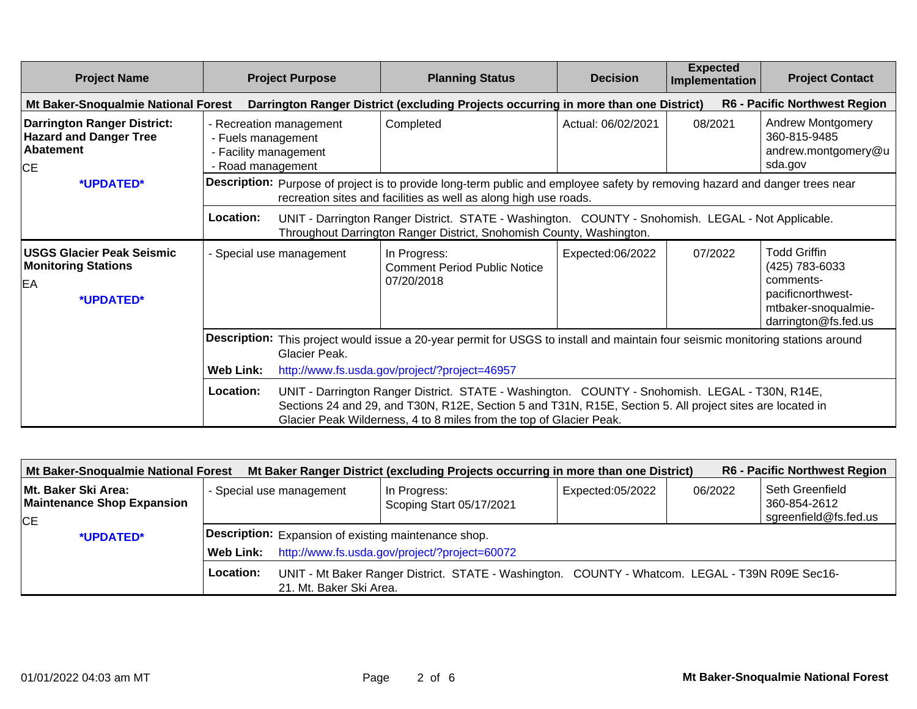| <b>Project Name</b>                                                                           |                                                                                                                                                  | <b>Project Purpose</b>                                                                                                                                                                                                                                                                                                                                  | <b>Planning Status</b>                                                                                                                                                                          | <b>Decision</b>    | <b>Expected</b><br>Implementation | <b>Project Contact</b>                                                                                                 |
|-----------------------------------------------------------------------------------------------|--------------------------------------------------------------------------------------------------------------------------------------------------|---------------------------------------------------------------------------------------------------------------------------------------------------------------------------------------------------------------------------------------------------------------------------------------------------------------------------------------------------------|-------------------------------------------------------------------------------------------------------------------------------------------------------------------------------------------------|--------------------|-----------------------------------|------------------------------------------------------------------------------------------------------------------------|
| Mt Baker-Snoqualmie National Forest                                                           |                                                                                                                                                  |                                                                                                                                                                                                                                                                                                                                                         | Darrington Ranger District (excluding Projects occurring in more than one District)                                                                                                             |                    |                                   | <b>R6 - Pacific Northwest Region</b>                                                                                   |
| <b>Darrington Ranger District:</b><br><b>Hazard and Danger Tree</b><br>Abatement<br><b>CE</b> | - Fuels management<br>- Facility management<br>- Road management                                                                                 | - Recreation management                                                                                                                                                                                                                                                                                                                                 | Completed                                                                                                                                                                                       | Actual: 06/02/2021 | 08/2021                           | <b>Andrew Montgomery</b><br>360-815-9485<br>andrew.montgomery@u<br>sda.gov                                             |
| *UPDATED*                                                                                     |                                                                                                                                                  |                                                                                                                                                                                                                                                                                                                                                         | Description: Purpose of project is to provide long-term public and employee safety by removing hazard and danger trees near<br>recreation sites and facilities as well as along high use roads. |                    |                                   |                                                                                                                        |
|                                                                                               | Location:                                                                                                                                        |                                                                                                                                                                                                                                                                                                                                                         | UNIT - Darrington Ranger District. STATE - Washington. COUNTY - Snohomish. LEGAL - Not Applicable.<br>Throughout Darrington Ranger District, Snohomish County, Washington.                      |                    |                                   |                                                                                                                        |
| <b>USGS Glacier Peak Seismic</b><br><b>Monitoring Stations</b><br>EA<br>*UPDATED*             |                                                                                                                                                  | - Special use management                                                                                                                                                                                                                                                                                                                                | In Progress:<br><b>Comment Period Public Notice</b><br>07/20/2018                                                                                                                               | Expected:06/2022   | 07/2022                           | <b>Todd Griffin</b><br>(425) 783-6033<br>comments-<br>pacificnorthwest-<br>mtbaker-snoqualmie-<br>darrington@fs.fed.us |
|                                                                                               | Description: This project would issue a 20-year permit for USGS to install and maintain four seismic monitoring stations around<br>Glacier Peak. |                                                                                                                                                                                                                                                                                                                                                         |                                                                                                                                                                                                 |                    |                                   |                                                                                                                        |
|                                                                                               | Location:                                                                                                                                        | <b>Web Link:</b><br>http://www.fs.usda.gov/project/?project=46957<br>UNIT - Darrington Ranger District. STATE - Washington. COUNTY - Snohomish. LEGAL - T30N, R14E,<br>Sections 24 and 29, and T30N, R12E, Section 5 and T31N, R15E, Section 5. All project sites are located in<br>Glacier Peak Wilderness, 4 to 8 miles from the top of Glacier Peak. |                                                                                                                                                                                                 |                    |                                   |                                                                                                                        |

| <b>R6 - Pacific Northwest Region</b><br>Mt Baker-Snoqualmie National Forest<br>Mt Baker Ranger District (excluding Projects occurring in more than one District) |                  |                                                      |                                                                                                 |                  |         |                                 |  |  |
|------------------------------------------------------------------------------------------------------------------------------------------------------------------|------------------|------------------------------------------------------|-------------------------------------------------------------------------------------------------|------------------|---------|---------------------------------|--|--|
| Mt. Baker Ski Area:<br><b>Maintenance Shop Expansion</b>                                                                                                         |                  | - Special use management                             | In Progress:<br>Scoping Start 05/17/2021                                                        | Expected:05/2022 | 06/2022 | Seth Greenfield<br>360-854-2612 |  |  |
| <b>CE</b>                                                                                                                                                        |                  |                                                      |                                                                                                 |                  |         | sgreenfield@fs.fed.us           |  |  |
| *UPDATED*                                                                                                                                                        |                  | Description: Expansion of existing maintenance shop. |                                                                                                 |                  |         |                                 |  |  |
|                                                                                                                                                                  | <b>Web Link:</b> | http://www.fs.usda.gov/project/?project=60072        |                                                                                                 |                  |         |                                 |  |  |
|                                                                                                                                                                  | <b>Location:</b> | 21. Mt. Baker Ski Area.                              | UNIT - Mt Baker Ranger District. STATE - Washington. COUNTY - Whatcom. LEGAL - T39N R09E Sec16- |                  |         |                                 |  |  |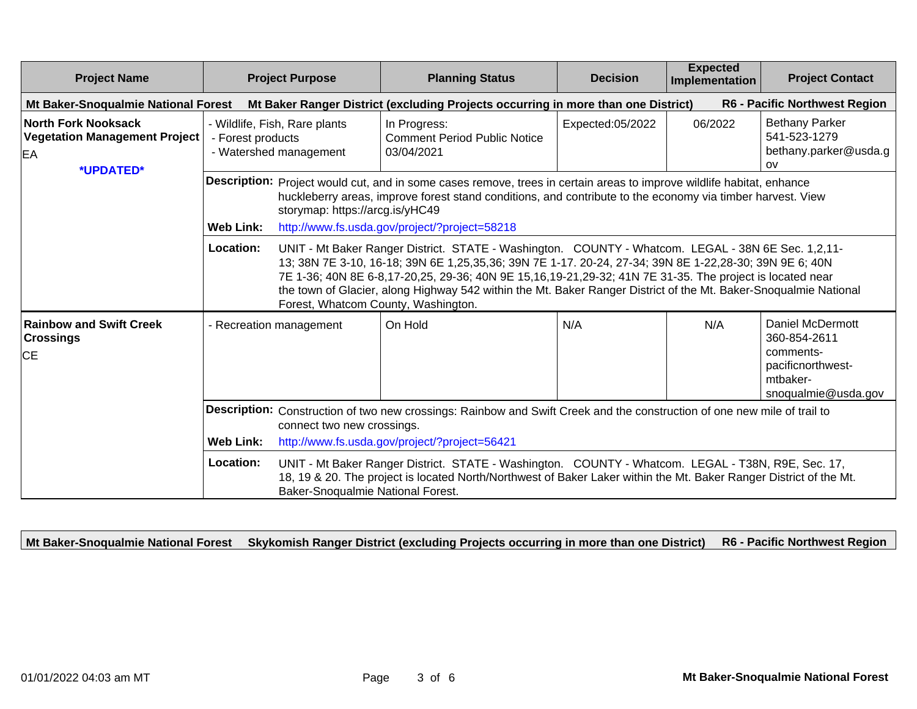| <b>Project Name</b>                                                                                                                                                                                                         |                                                                              | <b>Project Purpose</b>              | <b>Planning Status</b>                                                                                                                                                                                                                                                                                                                                                                                                                       | <b>Decision</b>  | <b>Expected</b><br>Implementation | <b>Project Contact</b>                                                                                       |  |  |  |
|-----------------------------------------------------------------------------------------------------------------------------------------------------------------------------------------------------------------------------|------------------------------------------------------------------------------|-------------------------------------|----------------------------------------------------------------------------------------------------------------------------------------------------------------------------------------------------------------------------------------------------------------------------------------------------------------------------------------------------------------------------------------------------------------------------------------------|------------------|-----------------------------------|--------------------------------------------------------------------------------------------------------------|--|--|--|
| R6 - Pacific Northwest Region<br>Mt Baker-Snoqualmie National Forest<br>Mt Baker Ranger District (excluding Projects occurring in more than one District)                                                                   |                                                                              |                                     |                                                                                                                                                                                                                                                                                                                                                                                                                                              |                  |                                   |                                                                                                              |  |  |  |
| <b>North Fork Nooksack</b><br><b>Vegetation Management Project</b><br>EA<br>*UPDATED*                                                                                                                                       | - Wildlife, Fish, Rare plants<br>- Forest products<br>- Watershed management |                                     | In Progress:<br><b>Comment Period Public Notice</b><br>03/04/2021                                                                                                                                                                                                                                                                                                                                                                            | Expected:05/2022 | 06/2022                           | <b>Bethany Parker</b><br>541-523-1279<br>bethany.parker@usda.g<br><b>OV</b>                                  |  |  |  |
|                                                                                                                                                                                                                             | <b>Web Link:</b>                                                             | storymap: https://arcg.is/yHC49     | Description: Project would cut, and in some cases remove, trees in certain areas to improve wildlife habitat, enhance<br>huckleberry areas, improve forest stand conditions, and contribute to the economy via timber harvest. View<br>http://www.fs.usda.gov/project/?project=58218                                                                                                                                                         |                  |                                   |                                                                                                              |  |  |  |
|                                                                                                                                                                                                                             | Location:                                                                    | Forest, Whatcom County, Washington. | UNIT - Mt Baker Ranger District. STATE - Washington. COUNTY - Whatcom. LEGAL - 38N 6E Sec. 1,2,11-<br>13; 38N 7E 3-10, 16-18; 39N 6E 1,25,35,36; 39N 7E 1-17. 20-24, 27-34; 39N 8E 1-22,28-30; 39N 9E 6; 40N<br>7E 1-36; 40N 8E 6-8,17-20,25, 29-36; 40N 9E 15,16,19-21,29-32; 41N 7E 31-35. The project is located near<br>the town of Glacier, along Highway 542 within the Mt. Baker Ranger District of the Mt. Baker-Snoqualmie National |                  |                                   |                                                                                                              |  |  |  |
| <b>Rainbow and Swift Creek</b><br><b>Crossings</b><br><b>CE</b>                                                                                                                                                             |                                                                              | - Recreation management             | On Hold                                                                                                                                                                                                                                                                                                                                                                                                                                      | N/A              | N/A                               | <b>Daniel McDermott</b><br>360-854-2611<br>comments-<br>pacificnorthwest-<br>mtbaker-<br>snoqualmie@usda.gov |  |  |  |
| Description: Construction of two new crossings: Rainbow and Swift Creek and the construction of one new mile of trail to<br>connect two new crossings.<br>http://www.fs.usda.gov/project/?project=56421<br><b>Web Link:</b> |                                                                              |                                     |                                                                                                                                                                                                                                                                                                                                                                                                                                              |                  |                                   |                                                                                                              |  |  |  |
|                                                                                                                                                                                                                             | Location:                                                                    | Baker-Snoqualmie National Forest.   | UNIT - Mt Baker Ranger District. STATE - Washington. COUNTY - Whatcom. LEGAL - T38N, R9E, Sec. 17,<br>18, 19 & 20. The project is located North/Northwest of Baker Laker within the Mt. Baker Ranger District of the Mt.                                                                                                                                                                                                                     |                  |                                   |                                                                                                              |  |  |  |

**Mt Baker-Snoqualmie National Forest Skykomish Ranger District (excluding Projects occurring in more than one District) R6 - Pacific Northwest Region**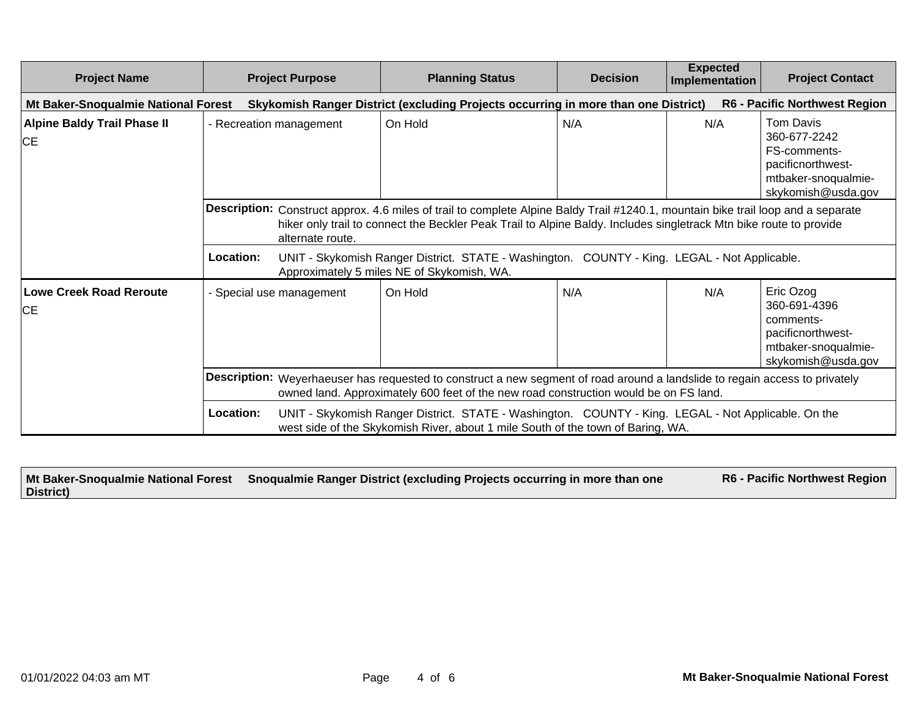| <b>Project Name</b>                         | <b>Project Purpose</b>                                                                                                                                                                                              | <b>Planning Status</b>                                                                                                                                                                                                                                  | <b>Decision</b> | <b>Expected</b><br>Implementation | <b>Project Contact</b>                                                                                                    |  |  |
|---------------------------------------------|---------------------------------------------------------------------------------------------------------------------------------------------------------------------------------------------------------------------|---------------------------------------------------------------------------------------------------------------------------------------------------------------------------------------------------------------------------------------------------------|-----------------|-----------------------------------|---------------------------------------------------------------------------------------------------------------------------|--|--|
| Mt Baker-Snoqualmie National Forest         |                                                                                                                                                                                                                     | Skykomish Ranger District (excluding Projects occurring in more than one District)                                                                                                                                                                      |                 |                                   | <b>R6 - Pacific Northwest Region</b>                                                                                      |  |  |
| <b>Alpine Baldy Trail Phase II</b><br>CE    | - Recreation management                                                                                                                                                                                             | On Hold                                                                                                                                                                                                                                                 | N/A             | N/A                               | <b>Tom Davis</b><br>360-677-2242<br><b>FS-comments-</b><br>pacificnorthwest-<br>mtbaker-snoqualmie-<br>skykomish@usda.gov |  |  |
|                                             | alternate route.                                                                                                                                                                                                    | Description: Construct approx. 4.6 miles of trail to complete Alpine Baldy Trail #1240.1, mountain bike trail loop and a separate<br>hiker only trail to connect the Beckler Peak Trail to Alpine Baldy. Includes singletrack Mtn bike route to provide |                 |                                   |                                                                                                                           |  |  |
|                                             | Location:                                                                                                                                                                                                           | UNIT - Skykomish Ranger District. STATE - Washington. COUNTY - King. LEGAL - Not Applicable.<br>Approximately 5 miles NE of Skykomish, WA.                                                                                                              |                 |                                   |                                                                                                                           |  |  |
| <b>Lowe Creek Road Reroute</b><br><b>CE</b> | - Special use management                                                                                                                                                                                            | On Hold                                                                                                                                                                                                                                                 | N/A             | N/A                               | Eric Ozog<br>360-691-4396<br>comments-<br>pacificnorthwest-<br>mtbaker-snoqualmie-<br>skykomish@usda.gov                  |  |  |
|                                             | Description: Weyerhaeuser has requested to construct a new segment of road around a landslide to regain access to privately<br>owned land. Approximately 600 feet of the new road construction would be on FS land. |                                                                                                                                                                                                                                                         |                 |                                   |                                                                                                                           |  |  |
|                                             | Location:                                                                                                                                                                                                           | UNIT - Skykomish Ranger District. STATE - Washington. COUNTY - King. LEGAL - Not Applicable. On the<br>west side of the Skykomish River, about 1 mile South of the town of Baring, WA.                                                                  |                 |                                   |                                                                                                                           |  |  |

|           | Mt Baker-Snoqualmie National Forest Snoqualmie Ranger District (excluding Projects occurring in more than one | <b>R6 - Pacific Northwest Region</b> |
|-----------|---------------------------------------------------------------------------------------------------------------|--------------------------------------|
| District) |                                                                                                               |                                      |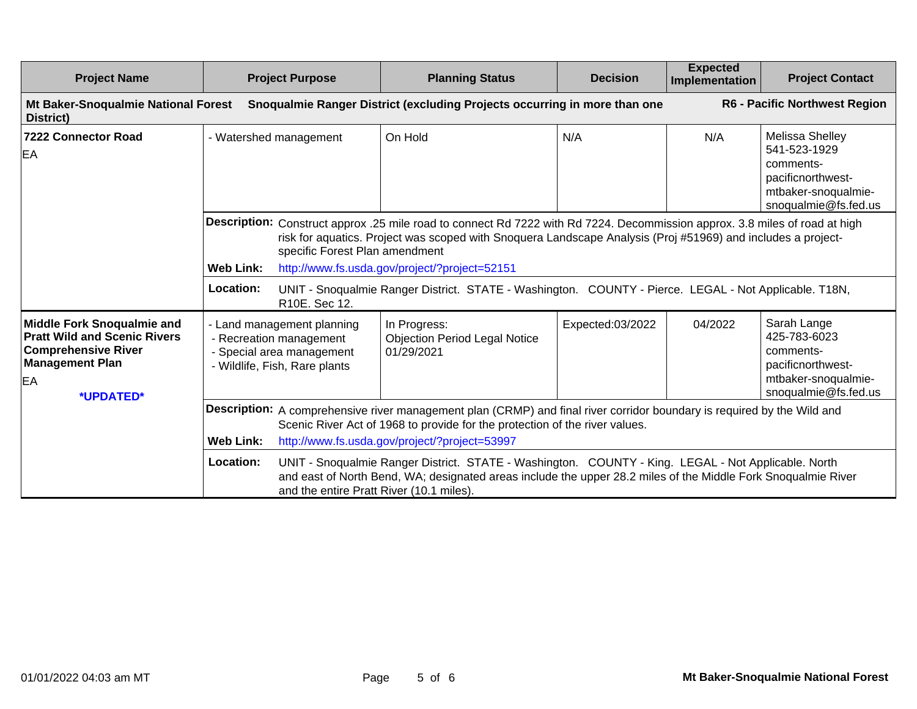| <b>Project Name</b>                                                                                                                                 | <b>Project Purpose</b>                                                                                                                                                                                                                                                                                                                                                                                                                                                                                                                                       | <b>Planning Status</b>                                                                                                                                                                                                                                                                                                                                                                                | <b>Decision</b>  | <b>Expected</b><br>Implementation | <b>Project Contact</b>                                                                                           |  |
|-----------------------------------------------------------------------------------------------------------------------------------------------------|--------------------------------------------------------------------------------------------------------------------------------------------------------------------------------------------------------------------------------------------------------------------------------------------------------------------------------------------------------------------------------------------------------------------------------------------------------------------------------------------------------------------------------------------------------------|-------------------------------------------------------------------------------------------------------------------------------------------------------------------------------------------------------------------------------------------------------------------------------------------------------------------------------------------------------------------------------------------------------|------------------|-----------------------------------|------------------------------------------------------------------------------------------------------------------|--|
| Mt Baker-Snoqualmie National Forest<br>District)                                                                                                    |                                                                                                                                                                                                                                                                                                                                                                                                                                                                                                                                                              | Snoqualmie Ranger District (excluding Projects occurring in more than one                                                                                                                                                                                                                                                                                                                             |                  |                                   | R6 - Pacific Northwest Region                                                                                    |  |
| <b>7222 Connector Road</b><br>EA                                                                                                                    | - Watershed management                                                                                                                                                                                                                                                                                                                                                                                                                                                                                                                                       | On Hold                                                                                                                                                                                                                                                                                                                                                                                               | N/A              | N/A                               | Melissa Shelley<br>541-523-1929<br>comments-<br>pacificnorthwest-<br>mtbaker-snoqualmie-<br>snoqualmie@fs.fed.us |  |
|                                                                                                                                                     | specific Forest Plan amendment<br><b>Web Link:</b><br>Location:<br>R10E. Sec 12.                                                                                                                                                                                                                                                                                                                                                                                                                                                                             | Description: Construct approx .25 mile road to connect Rd 7222 with Rd 7224. Decommission approx. 3.8 miles of road at high<br>risk for aquatics. Project was scoped with Snoquera Landscape Analysis (Proj #51969) and includes a project-<br>http://www.fs.usda.gov/project/?project=52151<br>UNIT - Snoqualmie Ranger District. STATE - Washington. COUNTY - Pierce. LEGAL - Not Applicable. T18N, |                  |                                   |                                                                                                                  |  |
| <b>Middle Fork Snoqualmie and</b><br><b>Pratt Wild and Scenic Rivers</b><br><b>Comprehensive River</b><br><b>Management Plan</b><br>EA<br>*UPDATED* | - Land management planning<br>- Recreation management<br>- Special area management<br>- Wildlife, Fish, Rare plants                                                                                                                                                                                                                                                                                                                                                                                                                                          | In Progress:<br><b>Objection Period Legal Notice</b><br>01/29/2021                                                                                                                                                                                                                                                                                                                                    | Expected:03/2022 | 04/2022                           | Sarah Lange<br>425-783-6023<br>comments-<br>pacificnorthwest-<br>mtbaker-snoqualmie-<br>snoqualmie@fs.fed.us     |  |
|                                                                                                                                                     | Description: A comprehensive river management plan (CRMP) and final river corridor boundary is required by the Wild and<br>Scenic River Act of 1968 to provide for the protection of the river values.<br><b>Web Link:</b><br>http://www.fs.usda.gov/project/?project=53997<br>Location:<br>UNIT - Snoqualmie Ranger District. STATE - Washington. COUNTY - King. LEGAL - Not Applicable. North<br>and east of North Bend, WA; designated areas include the upper 28.2 miles of the Middle Fork Snoqualmie River<br>and the entire Pratt River (10.1 miles). |                                                                                                                                                                                                                                                                                                                                                                                                       |                  |                                   |                                                                                                                  |  |